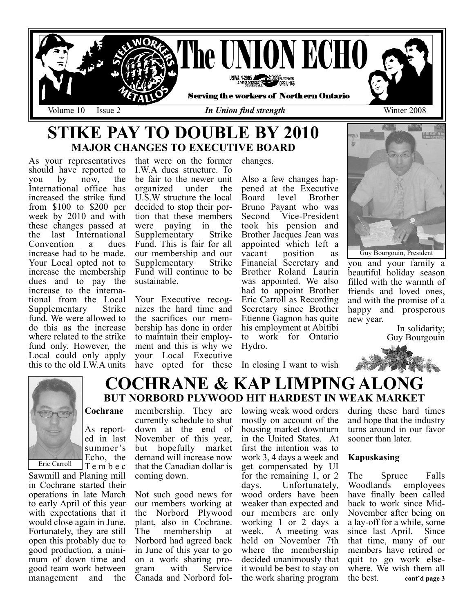

changes.

## STIKE PAY TO DOUBLE BY 2010 MAJOR CHANGES TO EXECUTIVE BOARD

As your representatives should have reported to<br>you by now, the you by now, the International office has increased the strike fund from \$100 to \$200 per week by 2010 and with these changes passed at the last International<br>Convention a dues Convention increase had to be made. Your Local opted not to increase the membership dues and to pay the increase to the international from the Local Supplementary fund. We were allowed to do this as the increase where related to the strike fund only. However, the Local could only apply this to the old I.W.A units

that were on the former I.W.A dues structure. To be fair to the newer unit<br>organized under the organized U.S.W structure the local decided to stop their portion that these members<br>were paying in the were paying in the<br>Supplementary Strike Supplementary Fund. This is fair for all our membership and our<br>Supplementary Strike Supplementary Fund will continue to be sustainable.

Your Executive recognizes the hard time and the sacrifices our membership has done in order to maintain their employment and this is why we your Local Executive

membership. They are

Also a few changes happened at the Executive<br>Board level Brother **Brother** Bruno Payant who was Second Vice-President took his pension and Brother Jacques Jean was appointed which left a<br>vacant position as position as Financial Secretary and Brother Roland Laurin was appointed. We also had to appoint Brother Eric Carroll as Recording Secretary since Brother Etienne Gagnon has quite his employment at Abitibi to work for Ontario Hydro.

have opted for these In closing I want to wish



you and your family a beautiful holiday season filled with the warmth of friends and loved ones, and with the promise of a happy and prosperous new year.

> In solidarity; Guy Bourgouin



Eric Carroll

Sawmill and Planing mill in Cochrane started their operations in late March to early April of this year with expectations that it would close again in June. Fortunately, they are still open this probably due to good production, a minimum of down time and good team work between management and the

## COCHRANE & KAP LIMPING ALONG BUT NORBORD PLYWOOD HIT HARDEST IN WEAK MARKET

## Cochrane

As reported in last summer's Echo, the Tembec currently schedule to shut down at the end of November of this year, but hopefully market demand will increase now that the Canadian dollar is coming down.

> Not such good news for our members working at the Norbord Plywood plant, also in Cochrane. The membership at Norbord had agreed back in June of this year to go on a work sharing program with Service Canada and Norbord fol

lowing weak wood orders mostly on account of the housing market downturn in the United States. At first the intention was to work 3, 4 days a week and get compensated by UI for the remaining 1, or 2 days. Unfortunately, wood orders have been weaker than expected and our members are only working 1 or 2 days a week. A meeting was held on November 7th where the membership decided unanimously that it would be best to stay on the work sharing program

during these hard times and hope that the industry turns around in our favor sooner than later.

## Kapuskasing

The Spruce Falls Woodlands employees have finally been called back to work since Mid-November after being on a lay-off for a while, some since last April. Since that time, many of our members have retired or quit to go work elsewhere. We wish them all<br>the best. cont'd page 3 cont'd page 3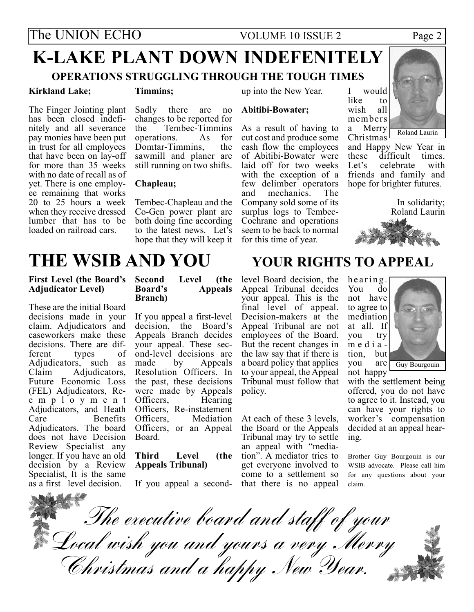# K-LAKE PLANT DOWN INDEFENITELY

## OPERATIONS STRUGGLING THROUGH THE TOUGH TIMES

## Kirkland Lake;

#### Timmins;

The Finger Jointing plant has been closed indefinitely and all severance pay monies have been put in trust for all employees that have been on lay-off for more than 35 weeks with no date of recall as of yet. There is one employee remaining that works 20 to 25 hours a week when they receive dressed lumber that has to be loaded on railroad cars.

Sadly there are no changes to be reported for<br>the Tembec-Timmins Tembec-Timmins<br>ons As for operations. As for<br>Domtar-Timmins the Domtar-Timmins. sawmill and planer are still running on two shifts.

## Chapleau;

Tembec-Chapleau and the Co-Gen power plant are both doing fine according to the latest news. Let's hope that they will keep it up into the New Year.

## Abitibi-Bowater;

As a result of having to cut cost and produce some cash flow the employees of Abitibi-Bowater were laid off for two weeks with the exception of a few delimber operators<br>and mechanics The mechanics. Company sold some of its surplus logs to Tembec-Cochrane and operations seem to be back to normal for this time of year.



Roland Laurin

Christmas and Happy New Year in these difficult times.<br>Let's celebrate with celebrate friends and family and hope for brighter futures.

> In solidarity; Roland Laurin



## THE WSIB AND YOU YOUR RIGHTS TO APPEAL

## First Level (the Board's Adjudicator Level)

These are the initial Board decisions made in your claim. Adjudicators and caseworkers make these decisions. There are dif-<br>ferent types of ferent Adjudicators, such as<br>Claim Adjudicators. Adjudicators, Future Economic Loss (FEL) Adjudicators, Reemployment Adjudicators, and Heath<br>Care Benefits Benefits Adjudicators. The board does not have Decision Review Specialist any longer. If you have an old decision by a Review Specialist, It is the same as a first –level decision.

#### Second Level (the Board's Appeals Appeals Branch)

If you appeal a first-level decision, the Board's Appeals Branch decides your appeal. These second-level decisions are<br>made by Appeals by Appeals Resolution Officers. In the past, these decisions were made by Appeals<br>Officers. Hearing Officers, Officers, Re-instatement<br>Officers, Mediation **Mediation** Officers, or an Appeal Board.

### Third Level (the Appeals Tribunal)

If you appeal a second-

level Board decision, the Appeal Tribunal decides your appeal. This is the final level of appeal. Decision-makers at the Appeal Tribunal are not employees of the Board. But the recent changes in the law say that if there is a board policy that applies to your appeal, the Appeal Tribunal must follow that policy.

At each of these 3 levels, the Board or the Appeals Tribunal may try to settle an appeal with "mediation". A mediator tries to get everyone involved to come to a settlement so that there is no appeal

hearing.<br>You do You not have to agree to mediation at all. If you media -<br>tion, but tion, you are not happy



with the settlement being offered, you do not have to agree to it. Instead, you can have your rights to worker's compensation decided at an appeal hearing.

Brother Guy Bourgouin is our WSIB advocate. Please call him for any questions about your claim.

The executive board and staff of your Local wish you and yours a very Merry Christmas and a happy New Year.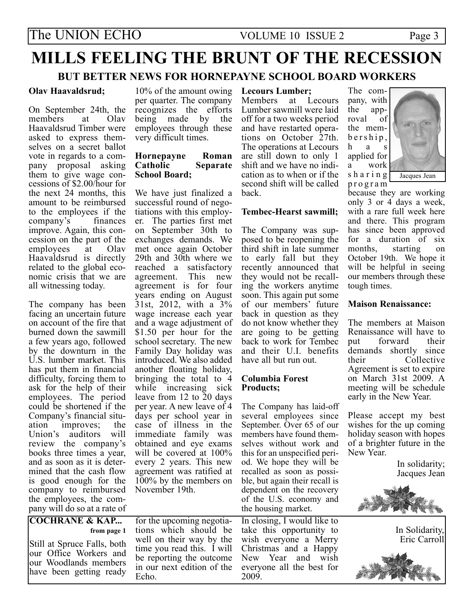# MILLS FEELING THE BRUNT OF THE RECESSION

## BUT BETTER NEWS FOR HORNEPAYNE SCHOOL BOARD WORKERS

## Olav Haavaldsrud;

On September 24th, the members at Olav members Haavaldsrud Timber were asked to express themselves on a secret ballot vote in regards to a company proposal asking them to give wage concessions of \$2.00/hour for the next 24 months, this amount to be reimbursed to the employees if the company's finances  $company's$ improve. Again, this concession on the part of the<br>employees at Olay employees Haavaldsrud is directly related to the global economic crisis that we are all witnessing today.

The company has been facing an uncertain future on account of the fire that burned down the sawmill a few years ago, followed by the downturn in the U.S. lumber market. This has put them in financial difficulty, forcing them to ask for the help of their employees. The period could be shortened if the Company's financial situ-<br>ation improves: the improves; Union's auditors will review the company's books three times a year, and as soon as it is determined that the cash flow is good enough for the company to reimbursed the employees, the company will do so at a rate of

COCHRANE & KAP...

Still at Spruce Falls, both our Office Workers and our Woodlands members have been getting ready

from page 1

Echo.

10% of the amount owing per quarter. The company recognizes the efforts<br>being made by the being made employees through these very difficult times.

## Hornepayne Roman Separate School Board;

We have just finalized a successful round of negotiations with this employer. The parties first met on September 30th to exchanges demands. We met once again October 29th and 30th where we reached a satisfactory agreement. This new agreement is for four years ending on August 31st, 2012, with a 3% wage increase each year and a wage adjustment of \$1.50 per hour for the school secretary. The new Family Day holiday was introduced. We also added another floating holiday, bringing the total to 4 while increasing sick leave from 12 to 20 days per year. A new leave of 4 days per school year in case of illness in the immediate family was obtained and eye exams will be covered at 100% every 2 years. This new agreement was ratified at 100% by the members on November 19th.

for the upcoming negotiations which should be well on their way by the time you read this. I will be reporting the outcome in our next edition of the

## Lecours Lumber;

Members at Lecours Lumber sawmill were laid off for a two weeks period and have restarted operations on October 27th. The operations at Lecours are still down to only 1 shift and we have no indication as to when or if the second shift will be called back.

## Tembec-Hearst sawmill;

The Company was supposed to be reopening the third shift in late summer to early fall but they recently announced that they would not be recalling the workers anytime soon. This again put some of our members' future back in question as they do not know whether they are going to be getting back to work for Tembec and their U.I. benefits have all but run out.

## Columbia Forest Products;

The Company has laid-off several employees since September. Over 65 of our members have found themselves without work and this for an unspecified period. We hope they will be recalled as soon as possible, but again their recall is dependent on the recovery of the U.S. economy and the housing market.

In closing, I would like to take this opportunity to wish everyone a Merry Christmas and a Happy New Year and wish everyone all the best for 2009.

The company, with the app-<br>royal of roval the membership, has applied for a work sharing program



because they are working only 3 or 4 days a week, with a rare full week here and there. This program has since been approved for a duration of six months, starting on October 19th. We hope it will be helpful in seeing our members through these tough times.

## Maison Renaissance:

The members at Maison Renaissance will have to put forward their demands shortly since their Collective Agreement is set to expire on March 31st 2009. A meeting will be schedule early in the New Year.

Please accept my best wishes for the up coming holiday season with hopes of a brighter future in the New Year.

> In solidarity; Jacques Jean



In Solidarity, Eric Carroll